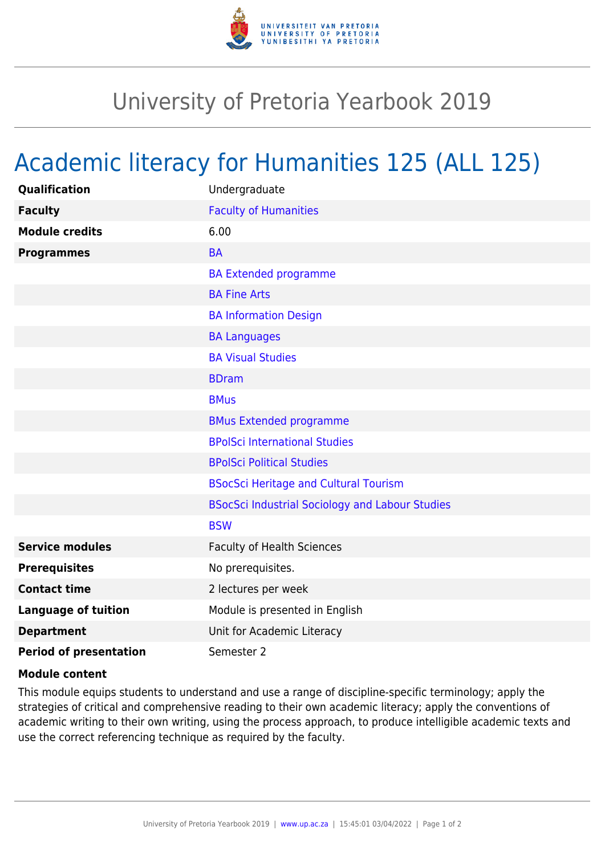

## University of Pretoria Yearbook 2019

## Academic literacy for Humanities 125 (ALL 125)

| <b>Qualification</b>          | Undergraduate                                          |
|-------------------------------|--------------------------------------------------------|
| <b>Faculty</b>                | <b>Faculty of Humanities</b>                           |
| <b>Module credits</b>         | 6.00                                                   |
| <b>Programmes</b>             | <b>BA</b>                                              |
|                               | <b>BA Extended programme</b>                           |
|                               | <b>BA Fine Arts</b>                                    |
|                               | <b>BA Information Design</b>                           |
|                               | <b>BA Languages</b>                                    |
|                               | <b>BA Visual Studies</b>                               |
|                               | <b>BDram</b>                                           |
|                               | <b>BMus</b>                                            |
|                               | <b>BMus Extended programme</b>                         |
|                               | <b>BPolSci International Studies</b>                   |
|                               | <b>BPolSci Political Studies</b>                       |
|                               | <b>BSocSci Heritage and Cultural Tourism</b>           |
|                               | <b>BSocSci Industrial Sociology and Labour Studies</b> |
|                               | <b>BSW</b>                                             |
| <b>Service modules</b>        | <b>Faculty of Health Sciences</b>                      |
| <b>Prerequisites</b>          | No prerequisites.                                      |
| <b>Contact time</b>           | 2 lectures per week                                    |
| <b>Language of tuition</b>    | Module is presented in English                         |
| <b>Department</b>             | Unit for Academic Literacy                             |
| <b>Period of presentation</b> | Semester 2                                             |

## **Module content**

This module equips students to understand and use a range of discipline-specific terminology; apply the strategies of critical and comprehensive reading to their own academic literacy; apply the conventions of academic writing to their own writing, using the process approach, to produce intelligible academic texts and use the correct referencing technique as required by the faculty.